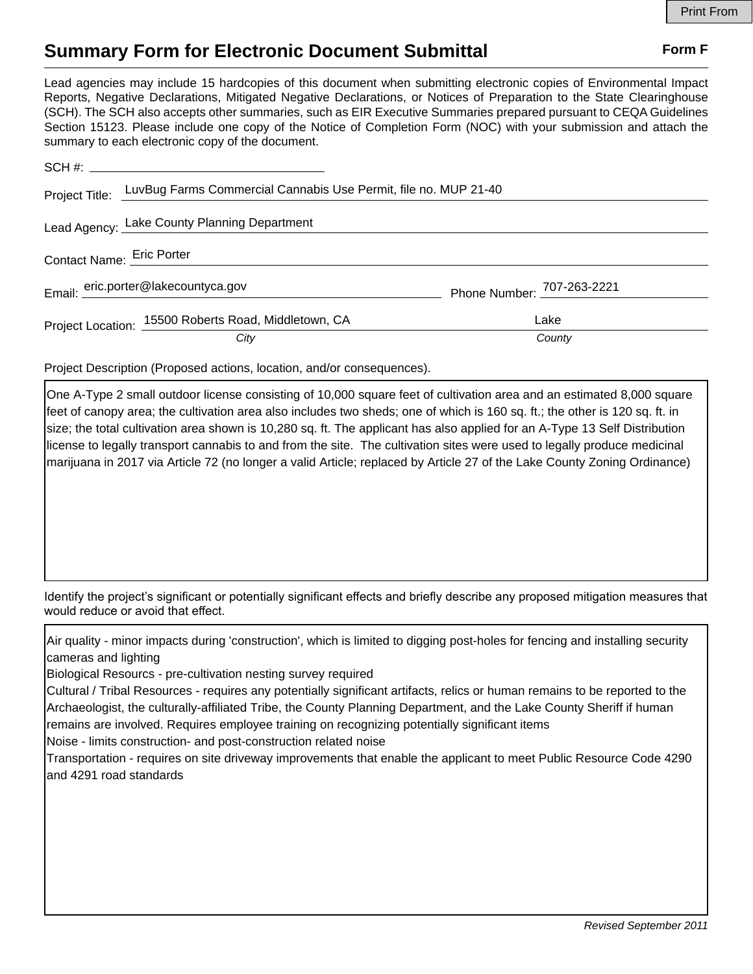## **Summary Form for Electronic Document Submittal Form F Form F**

Lead agencies may include 15 hardcopies of this document when submitting electronic copies of Environmental Impact Reports, Negative Declarations, Mitigated Negative Declarations, or Notices of Preparation to the State Clearinghouse (SCH). The SCH also accepts other summaries, such as EIR Executive Summaries prepared pursuant to CEQA Guidelines Section 15123. Please include one copy of the Notice of Completion Form (NOC) with your submission and attach the summary to each electronic copy of the document.

|  | SCH #:                                                                         |                            |
|--|--------------------------------------------------------------------------------|----------------------------|
|  | Project Title: LuvBug Farms Commercial Cannabis Use Permit, file no. MUP 21-40 |                            |
|  | Lead Agency: Lake County Planning Department                                   |                            |
|  | Contact Name: Eric Porter                                                      |                            |
|  | Email: eric.porter@lakecountyca.gov                                            | Phone Number: 707-263-2221 |
|  | Project Location: 15500 Roberts Road, Middletown, CA                           | Lake                       |
|  | City                                                                           | County                     |

Project Description (Proposed actions, location, and/or consequences).

One A-Type 2 small outdoor license consisting of 10,000 square feet of cultivation area and an estimated 8,000 square feet of canopy area; the cultivation area also includes two sheds; one of which is 160 sq. ft.; the other is 120 sq. ft. in size; the total cultivation area shown is 10,280 sq. ft. The applicant has also applied for an A-Type 13 Self Distribution license to legally transport cannabis to and from the site. The cultivation sites were used to legally produce medicinal marijuana in 2017 via Article 72 (no longer a valid Article; replaced by Article 27 of the Lake County Zoning Ordinance)

Identify the project's significant or potentially significant effects and briefly describe any proposed mitigation measures that would reduce or avoid that effect.

Air quality - minor impacts during 'construction', which is limited to digging post-holes for fencing and installing security cameras and lighting

Biological Resourcs - pre-cultivation nesting survey required

Cultural / Tribal Resources - requires any potentially significant artifacts, relics or human remains to be reported to the Archaeologist, the culturally-affiliated Tribe, the County Planning Department, and the Lake County Sheriff if human remains are involved. Requires employee training on recognizing potentially significant items Noise - limits construction- and post-construction related noise

Transportation - requires on site driveway improvements that enable the applicant to meet Public Resource Code 4290

and 4291 road standards